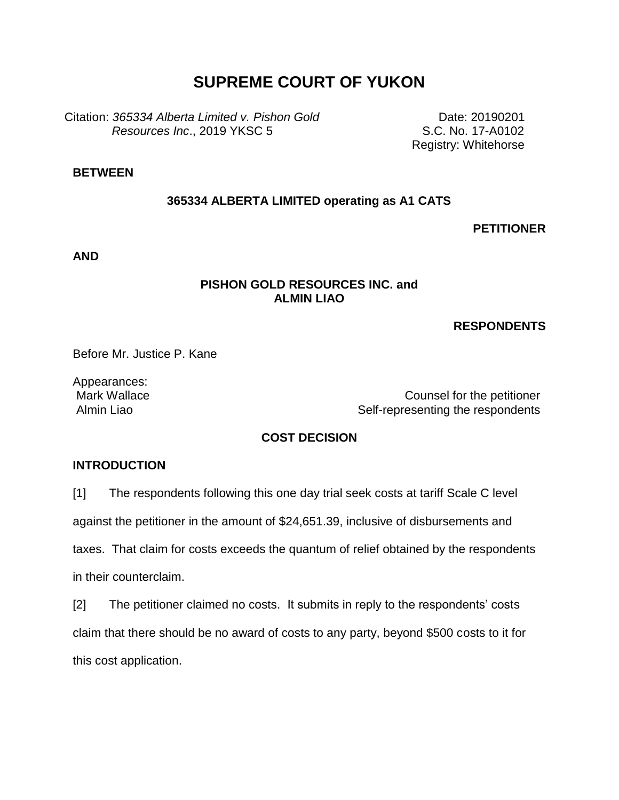# **SUPREME COURT OF YUKON**

Citation: *365334 Alberta Limited v. Pishon Gold Resources Inc*., 2019 YKSC 5

 Date: 20190201 S.C. No. 17-A0102 Registry: Whitehorse

# **BETWEEN**

#### **365334 ALBERTA LIMITED operating as A1 CATS**

#### **PETITIONER**

**AND**

### **PISHON GOLD RESOURCES INC. and ALMIN LIAO**

#### **RESPONDENTS**

Before Mr. Justice P. Kane

Appearances:

Mark Wallace **Counsel for the petitioner** Almin Liao **Self-representing the respondents** 

# **COST DECISION**

#### **INTRODUCTION**

[1] The respondents following this one day trial seek costs at tariff Scale C level

against the petitioner in the amount of \$24,651.39, inclusive of disbursements and

taxes. That claim for costs exceeds the quantum of relief obtained by the respondents

in their counterclaim.

[2] The petitioner claimed no costs. It submits in reply to the respondents' costs claim that there should be no award of costs to any party, beyond \$500 costs to it for this cost application.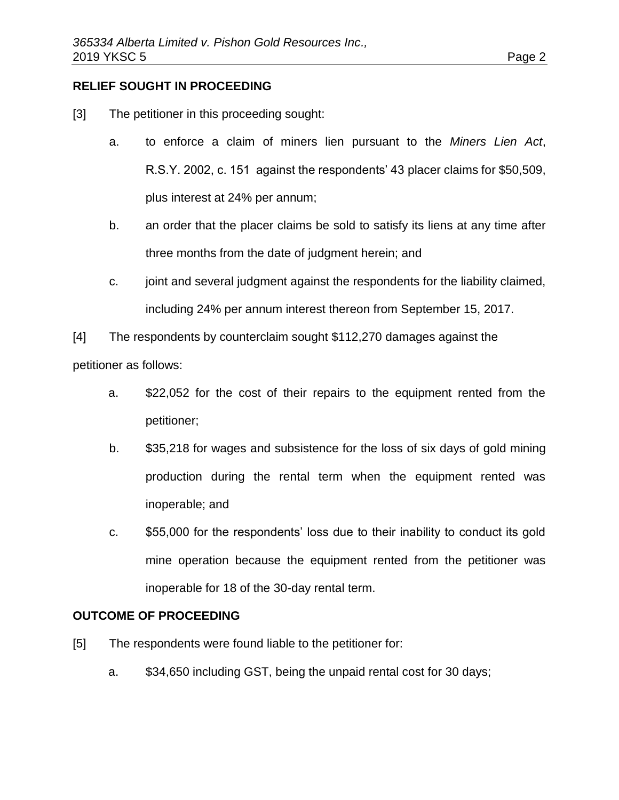# **RELIEF SOUGHT IN PROCEEDING**

- [3] The petitioner in this proceeding sought:
	- a. to enforce a claim of miners lien pursuant to the *Miners Lien Act*, R.S.Y. 2002, c. 151 against the respondents' 43 placer claims for \$50,509, plus interest at 24% per annum;
	- b. an order that the placer claims be sold to satisfy its liens at any time after three months from the date of judgment herein; and
	- c. joint and several judgment against the respondents for the liability claimed, including 24% per annum interest thereon from September 15, 2017.
- [4] The respondents by counterclaim sought \$112,270 damages against the

petitioner as follows:

- a. \$22,052 for the cost of their repairs to the equipment rented from the petitioner;
- b. \$35,218 for wages and subsistence for the loss of six days of gold mining production during the rental term when the equipment rented was inoperable; and
- c. \$55,000 for the respondents' loss due to their inability to conduct its gold mine operation because the equipment rented from the petitioner was inoperable for 18 of the 30-day rental term.

# **OUTCOME OF PROCEEDING**

- [5] The respondents were found liable to the petitioner for:
	- a. \$34,650 including GST, being the unpaid rental cost for 30 days;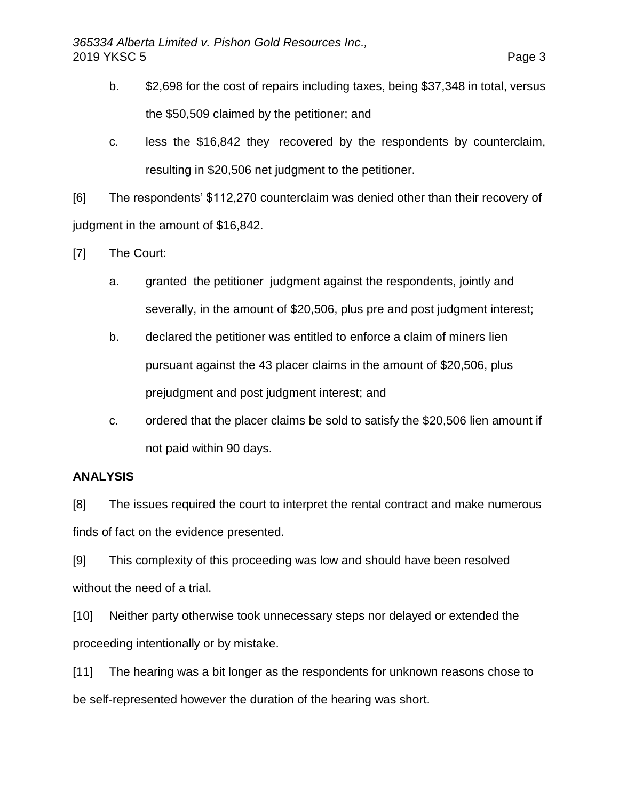- b. \$2,698 for the cost of repairs including taxes, being \$37,348 in total, versus the \$50,509 claimed by the petitioner; and
- c. less the \$16,842 they recovered by the respondents by counterclaim, resulting in \$20,506 net judgment to the petitioner.

[6] The respondents' \$112,270 counterclaim was denied other than their recovery of judgment in the amount of \$16,842.

[7] The Court:

- a. granted the petitioner judgment against the respondents, jointly and severally, in the amount of \$20,506, plus pre and post judgment interest;
- b. declared the petitioner was entitled to enforce a claim of miners lien pursuant against the 43 placer claims in the amount of \$20,506, plus prejudgment and post judgment interest; and
- c. ordered that the placer claims be sold to satisfy the \$20,506 lien amount if not paid within 90 days.

# **ANALYSIS**

[8] The issues required the court to interpret the rental contract and make numerous finds of fact on the evidence presented.

[9] This complexity of this proceeding was low and should have been resolved without the need of a trial.

[10] Neither party otherwise took unnecessary steps nor delayed or extended the proceeding intentionally or by mistake.

[11] The hearing was a bit longer as the respondents for unknown reasons chose to be self-represented however the duration of the hearing was short.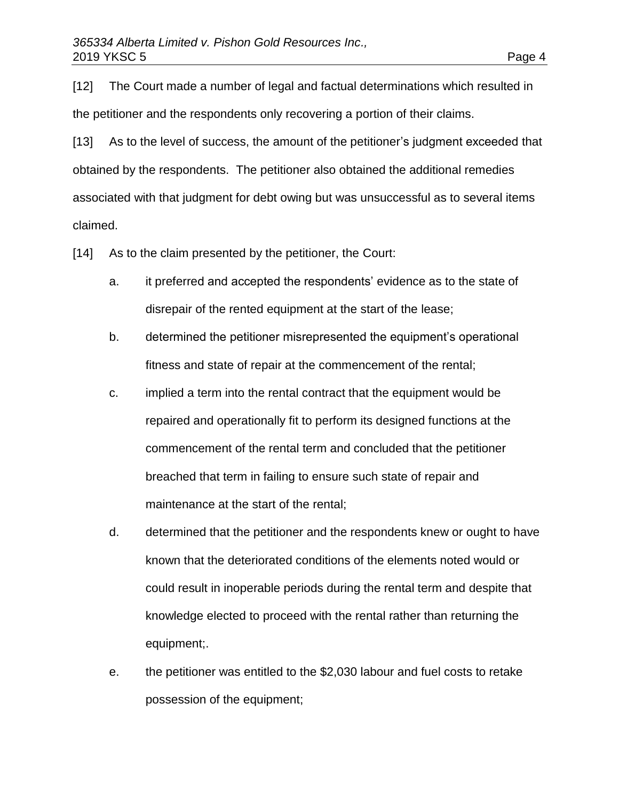[12] The Court made a number of legal and factual determinations which resulted in the petitioner and the respondents only recovering a portion of their claims.

[13] As to the level of success, the amount of the petitioner's judgment exceeded that obtained by the respondents. The petitioner also obtained the additional remedies associated with that judgment for debt owing but was unsuccessful as to several items claimed.

[14] As to the claim presented by the petitioner, the Court:

- a. it preferred and accepted the respondents' evidence as to the state of disrepair of the rented equipment at the start of the lease;
- b. determined the petitioner misrepresented the equipment's operational fitness and state of repair at the commencement of the rental;
- c. implied a term into the rental contract that the equipment would be repaired and operationally fit to perform its designed functions at the commencement of the rental term and concluded that the petitioner breached that term in failing to ensure such state of repair and maintenance at the start of the rental;
- d. determined that the petitioner and the respondents knew or ought to have known that the deteriorated conditions of the elements noted would or could result in inoperable periods during the rental term and despite that knowledge elected to proceed with the rental rather than returning the equipment;.
- e. the petitioner was entitled to the \$2,030 labour and fuel costs to retake possession of the equipment;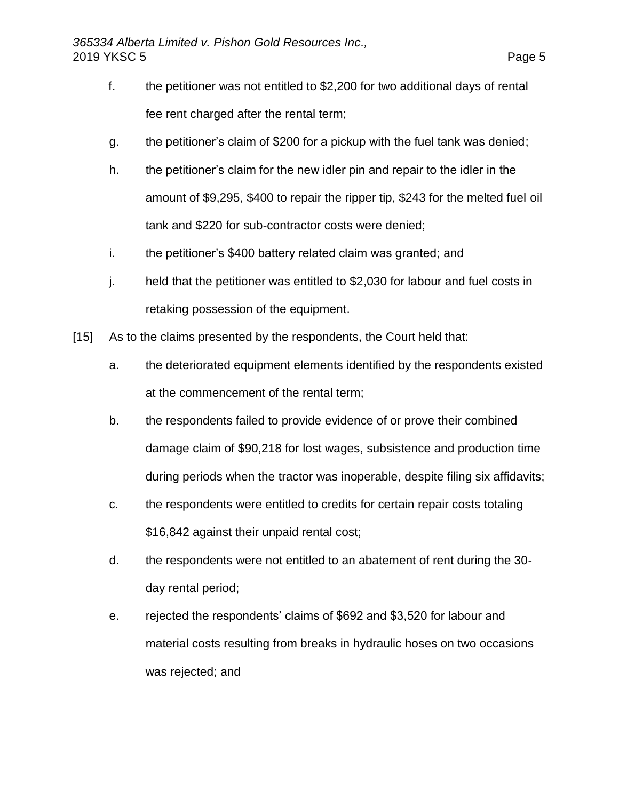- f. the petitioner was not entitled to \$2,200 for two additional days of rental fee rent charged after the rental term;
- g. the petitioner's claim of \$200 for a pickup with the fuel tank was denied;
- h. the petitioner's claim for the new idler pin and repair to the idler in the amount of \$9,295, \$400 to repair the ripper tip, \$243 for the melted fuel oil tank and \$220 for sub-contractor costs were denied;
- i. the petitioner's \$400 battery related claim was granted; and
- j. held that the petitioner was entitled to \$2,030 for labour and fuel costs in retaking possession of the equipment.
- [15] As to the claims presented by the respondents, the Court held that:
	- a. the deteriorated equipment elements identified by the respondents existed at the commencement of the rental term;
	- b. the respondents failed to provide evidence of or prove their combined damage claim of \$90,218 for lost wages, subsistence and production time during periods when the tractor was inoperable, despite filing six affidavits;
	- c. the respondents were entitled to credits for certain repair costs totaling \$16,842 against their unpaid rental cost;
	- d. the respondents were not entitled to an abatement of rent during the 30 day rental period;
	- e. rejected the respondents' claims of \$692 and \$3,520 for labour and material costs resulting from breaks in hydraulic hoses on two occasions was rejected; and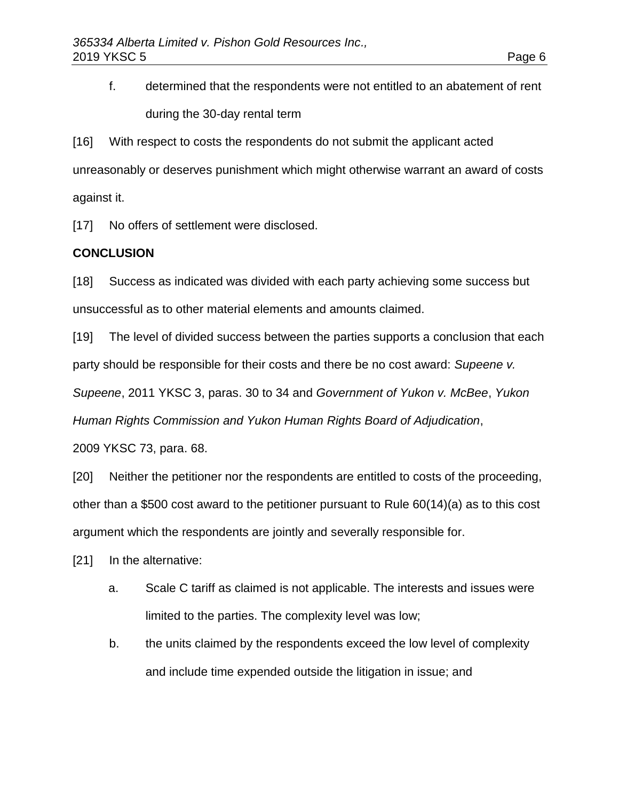f. determined that the respondents were not entitled to an abatement of rent during the 30-day rental term

[16] With respect to costs the respondents do not submit the applicant acted unreasonably or deserves punishment which might otherwise warrant an award of costs against it.

[17] No offers of settlement were disclosed.

#### **CONCLUSION**

[18] Success as indicated was divided with each party achieving some success but unsuccessful as to other material elements and amounts claimed.

[19] The level of divided success between the parties supports a conclusion that each party should be responsible for their costs and there be no cost award: *Supeene v.* 

*Supeene*, 2011 YKSC 3, paras. 30 to 34 and *Government of Yukon v. McBee*, *Yukon* 

*Human Rights Commission and Yukon Human Rights Board of Adjudication*,

2009 YKSC 73, para. 68.

[20] Neither the petitioner nor the respondents are entitled to costs of the proceeding, other than a \$500 cost award to the petitioner pursuant to Rule 60(14)(a) as to this cost argument which the respondents are jointly and severally responsible for.

[21] In the alternative:

- a. Scale C tariff as claimed is not applicable. The interests and issues were limited to the parties. The complexity level was low;
- b. the units claimed by the respondents exceed the low level of complexity and include time expended outside the litigation in issue; and